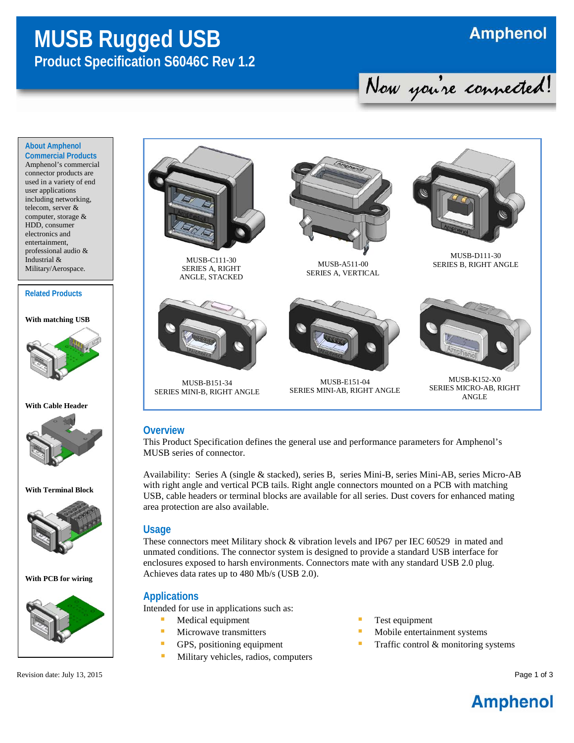## **MUSB Rugged USB Product Specification S6046C Rev 1.2**

# Now you're connected!

#### **About Amphenol Commercial Products**

Amphenol's commercial connector products are used in a variety of end user applications including networking, telecom, server & computer, storage & HDD, consumer electronics and entertainment, professional audio & Industrial & Military/Aerospace.

#### **Related Products**

**With matching USB**







**With Terminal Block**



**With PCB for wiring**



Revision date: July 13, 2015 Page 1 of 3



MUSB-C111-30 SERIES A, RIGHT ANGLE, STACKED



MUSB-B151-34 SERIES MINI-B, RIGHT ANGLE



MUSB-A511-00 SERIES A, VERTICAL



MUSB-E151-04 SERIES MINI-AB, RIGHT ANGLE



MUSB-D111-30 SERIES B, RIGHT ANGLE



MUSB-K152-X0 SERIES MICRO-AB, RIGHT ANGLE

#### **Overview**

This Product Specification defines the general use and performance parameters for Amphenol's MUSB series of connector.

Availability: Series A (single & stacked), series B, series Mini-B, series Mini-AB, series Micro-AB with right angle and vertical PCB tails. Right angle connectors mounted on a PCB with matching USB, cable headers or terminal blocks are available for all series. Dust covers for enhanced mating area protection are also available.

#### **Usage**

These connectors meet Military shock & vibration levels and IP67 per IEC 60529 in mated and unmated conditions. The connector system is designed to provide a standard USB interface for enclosures exposed to harsh environments. Connectors mate with any standard USB 2.0 plug. Achieves data rates up to 480 Mb/s (USB 2.0).

#### **Applications**

Intended for use in applications such as:

- **Medical equipment**
- Microwave transmitters
- GPS, positioning equipment
- **Military vehicles, radios, computers**
- **Test equipment**
- **Mobile entertainment systems**
- **Traffic control & monitoring systems**

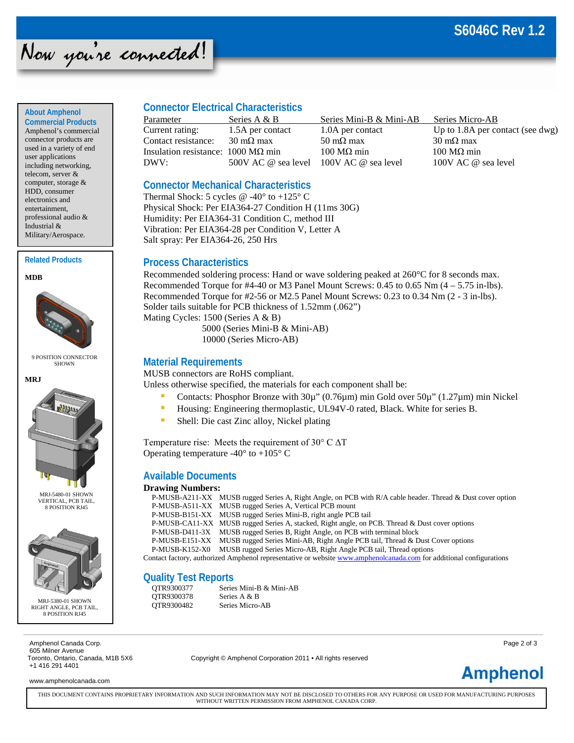### **S6046C Rev 1.2**

## Now you're connected!

#### **About Amphenol**

**Commercial Products** Amphenol's commercial connector products are used in a variety of end user applications including networking, telecom, server & computer, storage & HDD, consumer electronics and entertainment, professional audio & Industrial & Military/Aerospace.

#### **Related Products**





9 POSITION CONNECTOR SHOWN



MRJ-5480-01 SHOWN VERTICAL, PCB TAIL, 8 POSITION RJ45



MRJ-5380-01 SHOWN RIGHT ANGLE, PCB TAIL, 8 POSITION RJ45

Amphenol Canada Corp. **Page 2 of 3** and the corp. Page 2 of 3 605 Milner Avenue +1 416 291 4401

www.amphenolcanada.com

#### **Connector Electrical Characteristics**

| Parameter                          | Series A & B                            | Series Mini-B & Mini-AB   | Series Micro-AB                    |
|------------------------------------|-----------------------------------------|---------------------------|------------------------------------|
| Current rating:                    | 1.5A per contact                        | 1.0A per contact          | Up to $1.8A$ per contact (see dwg) |
| Contact resistance:                | $30 \text{ m}\Omega$ max                | $50 \text{ m}\Omega$ max  | $30 \text{ m}\Omega$ max           |
| Insulation resistance: 1000 MΩ min |                                         | $100 \text{ M}\Omega$ min | $100 \text{ M}\Omega$ min          |
| DWV:                               | 500V AC @ sea level 100V AC @ sea level |                           | 100V AC @ sea level                |
|                                    |                                         |                           |                                    |

#### **Connector Mechanical Characteristics**

Thermal Shock: 5 cycles  $@ -40°$  to  $+125°$  C Physical Shock: Per EIA364-27 Condition H (11ms 30G) Humidity: Per EIA364-31 Condition C, method III Vibration: Per EIA364-28 per Condition V, Letter A Salt spray: Per EIA364-26, 250 Hrs

#### **Process Characteristics**

Recommended soldering process: Hand or wave soldering peaked at 260°C for 8 seconds max. Recommended Torque for  $#4-40$  or M3 Panel Mount Screws: 0.45 to 0.65 Nm  $(4-5.75 \text{ in-lbs})$ . Recommended Torque for #2-56 or M2.5 Panel Mount Screws: 0.23 to 0.34 Nm (2 - 3 in-lbs). Solder tails suitable for PCB thickness of 1.52mm (.062") Mating Cycles: 1500 (Series A & B) 5000 (Series Mini-B & Mini-AB)

10000 (Series Micro-AB)

#### **Material Requirements**

MUSB connectors are RoHS compliant.

Unless otherwise specified, the materials for each component shall be:

- Contacts: Phosphor Bronze with  $30\mu$ " (0.76 $\mu$ m) min Gold over  $50\mu$ " (1.27 $\mu$ m) min Nickel
- Housing: Engineering thermoplastic, UL94V-0 rated, Black. White for series B.
- Shell: Die cast Zinc alloy, Nickel plating

Temperature rise: Meets the requirement of 30° C ΔT Operating temperature  $-40^{\circ}$  to  $+105^{\circ}$  C

#### **Available Documents**

#### **Drawing Numbers:**

|  | P-MUSB-A211-XX MUSB rugged Series A, Right Angle, on PCB with R/A cable header. Thread & Dust cover option          |
|--|---------------------------------------------------------------------------------------------------------------------|
|  | P-MUSB-A511-XX MUSB rugged Series A, Vertical PCB mount                                                             |
|  | P-MUSB-B151-XX MUSB rugged Series Mini-B, right angle PCB tail                                                      |
|  | P-MUSB-CA11-XX MUSB rugged Series A, stacked, Right angle, on PCB. Thread & Dust cover options                      |
|  | P-MUSB-D411-3X MUSB rugged Series B, Right Angle, on PCB with terminal block                                        |
|  | P-MUSB-E151-XX MUSB rugged Series Mini-AB, Right Angle PCB tail, Thread & Dust Cover options                        |
|  | P-MUSB-K152-X0 MUSB rugged Series Micro-AB, Right Angle PCB tail, Thread options                                    |
|  | Contact factory, authorized Amphenol representative or website www.amphenolcanada.com for additional configurations |
|  |                                                                                                                     |

#### **Quality Test Reports**

| OTR9300377 | Series Mini-B & Mini-AB |
|------------|-------------------------|
| OTR9300378 | Series A & B            |
| OTR9300482 | Series Micro-AB         |

Copyright © Amphenol Corporation 2011 • All rights reserved



THIS DOCUMENT CONTAINS PROPRIETARY INFORMATION AND SUCH INFORMATION MAY NOT BE DISCLOSED TO OTHERS FOR ANY PURPOSE OR USED FOR MANUFACTURING PURPOSES WITHOUT WRITTEN PERMISSION FROM AMPHENOL CANADA CORP.